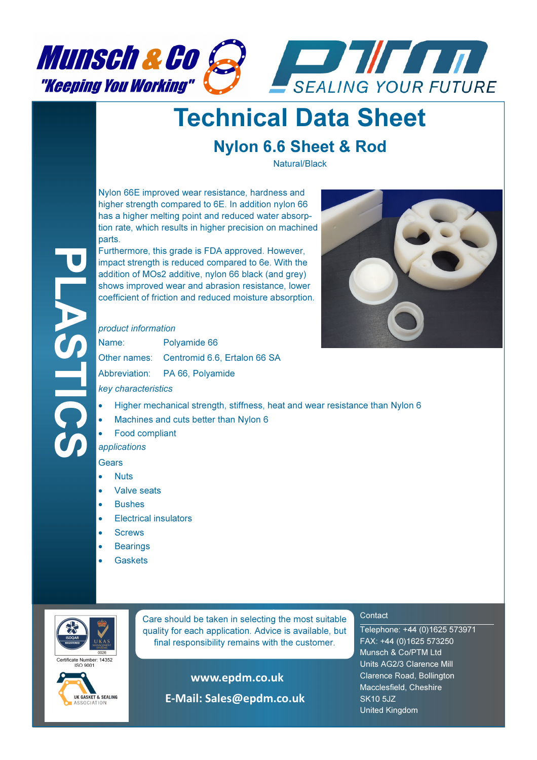



## Technical Data Sheet

### Nylon 6.6 Sheet & Rod

Natural/Black

Nylon 66E improved wear resistance, hardness and higher strength compared to 6E. In addition nylon 66 has a higher melting point and reduced water absorption rate, which results in higher precision on machined parts.

Furthermore, this grade is FDA approved. However, impact strength is reduced compared to 6e. With the addition of MOs2 additive, nylon 66 black (and grey) shows improved wear and abrasion resistance, lower coefficient of friction and reduced moisture absorption.

#### product information

| Name:                                           | Polyamide 66                              |  |
|-------------------------------------------------|-------------------------------------------|--|
|                                                 | Other names: Centromid 6.6, Ertalon 66 SA |  |
|                                                 | Abbreviation: PA 66, Polyamide            |  |
| المتحالف والمستحدث والمستحدث والمتحالي والمتحال |                                           |  |



key characteristics

- Higher mechanical strength, stiffness, heat and wear resistance than Nylon 6
- Machines and cuts better than Nylon 6
- Food compliant

applications

Gears

PLASTICS

- **Nuts**
- Valve seats
- Bushes
- Electrical insulators
- **Screws**
- **Bearings**
- **Gaskets**



**Care should be taken in selecting the most suitable** quality for each application. Advice is available, but final responsibility remains with the customer.

ertificate Number: 14352



www.epdm.co.uk

E-Mail: Sales@epdm.co.uk

#### **Contact**

Telephone: +44 (0)1625 573971 FAX: +44 (0)1625 573250 Munsch & Co/PTM Ltd Units AG2/3 Clarence Mill Clarence Road, Bollington Macclesfield, Cheshire SK10 5JZ United Kingdom